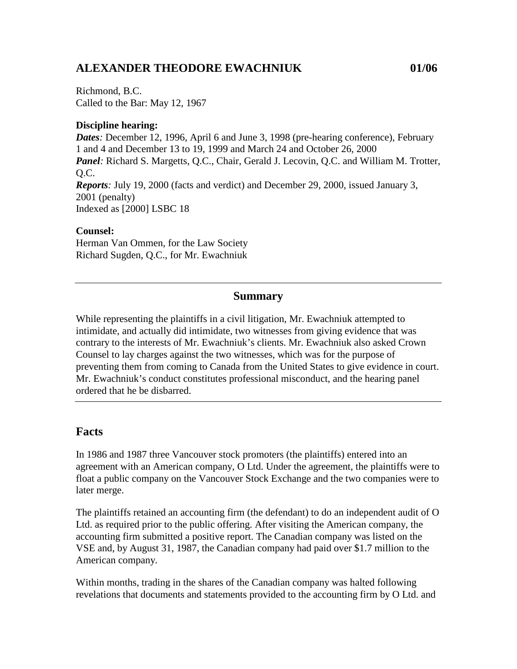# **ALEXANDER THEODORE EWACHNIUK 01/06**

Richmond, B.C. Called to the Bar: May 12, 1967

### **Discipline hearing:**

*Dates:* December 12, 1996, April 6 and June 3, 1998 (pre-hearing conference), February 1 and 4 and December 13 to 19, 1999 and March 24 and October 26, 2000 Panel: Richard S. Margetts, Q.C., Chair, Gerald J. Lecovin, Q.C. and William M. Trotter,  $O.C.$ *Reports:* July 19, 2000 (facts and verdict) and December 29, 2000, issued January 3, 2001 (penalty) Indexed as [2000] LSBC 18

#### **Counsel:**

Herman Van Ommen, for the Law Society Richard Sugden, Q.C., for Mr. Ewachniuk

### **Summary**

While representing the plaintiffs in a civil litigation, Mr. Ewachniuk attempted to intimidate, and actually did intimidate, two witnesses from giving evidence that was contrary to the interests of Mr. Ewachniuk's clients. Mr. Ewachniuk also asked Crown Counsel to lay charges against the two witnesses, which was for the purpose of preventing them from coming to Canada from the United States to give evidence in court. Mr. Ewachniuk's conduct constitutes professional misconduct, and the hearing panel ordered that he be disbarred.

### **Facts**

In 1986 and 1987 three Vancouver stock promoters (the plaintiffs) entered into an agreement with an American company, O Ltd. Under the agreement, the plaintiffs were to float a public company on the Vancouver Stock Exchange and the two companies were to later merge.

The plaintiffs retained an accounting firm (the defendant) to do an independent audit of O Ltd. as required prior to the public offering. After visiting the American company, the accounting firm submitted a positive report. The Canadian company was listed on the VSE and, by August 31, 1987, the Canadian company had paid over \$1.7 million to the American company.

Within months, trading in the shares of the Canadian company was halted following revelations that documents and statements provided to the accounting firm by O Ltd. and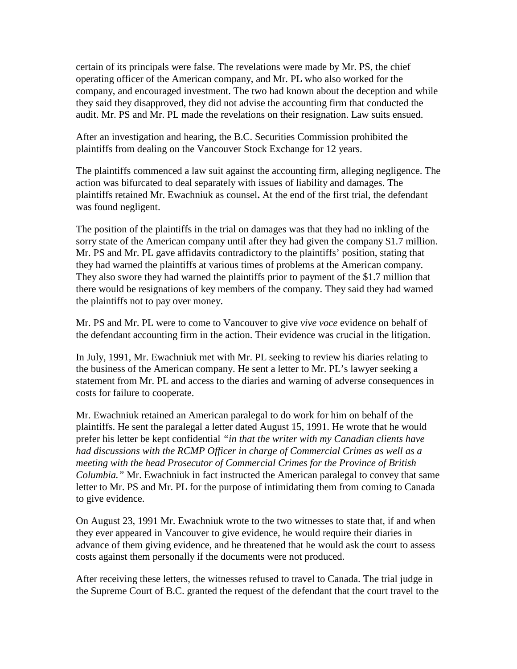certain of its principals were false. The revelations were made by Mr. PS, the chief operating officer of the American company, and Mr. PL who also worked for the company, and encouraged investment. The two had known about the deception and while they said they disapproved, they did not advise the accounting firm that conducted the audit. Mr. PS and Mr. PL made the revelations on their resignation. Law suits ensued.

After an investigation and hearing, the B.C. Securities Commission prohibited the plaintiffs from dealing on the Vancouver Stock Exchange for 12 years.

The plaintiffs commenced a law suit against the accounting firm, alleging negligence. The action was bifurcated to deal separately with issues of liability and damages. The plaintiffs retained Mr. Ewachniuk as counsel**.** At the end of the first trial, the defendant was found negligent.

The position of the plaintiffs in the trial on damages was that they had no inkling of the sorry state of the American company until after they had given the company \$1.7 million. Mr. PS and Mr. PL gave affidavits contradictory to the plaintiffs' position, stating that they had warned the plaintiffs at various times of problems at the American company. They also swore they had warned the plaintiffs prior to payment of the \$1.7 million that there would be resignations of key members of the company. They said they had warned the plaintiffs not to pay over money.

Mr. PS and Mr. PL were to come to Vancouver to give *vive voce* evidence on behalf of the defendant accounting firm in the action. Their evidence was crucial in the litigation.

In July, 1991, Mr. Ewachniuk met with Mr. PL seeking to review his diaries relating to the business of the American company. He sent a letter to Mr. PL's lawyer seeking a statement from Mr. PL and access to the diaries and warning of adverse consequences in costs for failure to cooperate.

Mr. Ewachniuk retained an American paralegal to do work for him on behalf of the plaintiffs. He sent the paralegal a letter dated August 15, 1991. He wrote that he would prefer his letter be kept confidential *"in that the writer with my Canadian clients have had discussions with the RCMP Officer in charge of Commercial Crimes as well as a meeting with the head Prosecutor of Commercial Crimes for the Province of British Columbia."* Mr. Ewachniuk in fact instructed the American paralegal to convey that same letter to Mr. PS and Mr. PL for the purpose of intimidating them from coming to Canada to give evidence.

On August 23, 1991 Mr. Ewachniuk wrote to the two witnesses to state that, if and when they ever appeared in Vancouver to give evidence, he would require their diaries in advance of them giving evidence, and he threatened that he would ask the court to assess costs against them personally if the documents were not produced.

After receiving these letters, the witnesses refused to travel to Canada. The trial judge in the Supreme Court of B.C. granted the request of the defendant that the court travel to the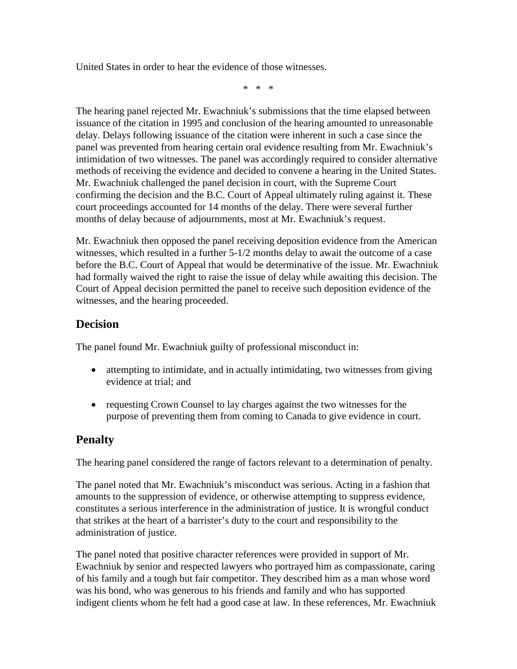United States in order to hear the evidence of those witnesses.

\* \* \*

The hearing panel rejected Mr. Ewachniuk's submissions that the time elapsed between issuance of the citation in 1995 and conclusion of the hearing amounted to unreasonable delay. Delays following issuance of the citation were inherent in such a case since the panel was prevented from hearing certain oral evidence resulting from Mr. Ewachniuk's intimidation of two witnesses. The panel was accordingly required to consider alternative methods of receiving the evidence and decided to convene a hearing in the United States. Mr. Ewachniuk challenged the panel decision in court, with the Supreme Court confirming the decision and the B.C. Court of Appeal ultimately ruling against it. These court proceedings accounted for 14 months of the delay. There were several further months of delay because of adjournments, most at Mr. Ewachniuk's request.

Mr. Ewachniuk then opposed the panel receiving deposition evidence from the American witnesses, which resulted in a further 5-1/2 months delay to await the outcome of a case before the B.C. Court of Appeal that would be determinative of the issue. Mr. Ewachniuk had formally waived the right to raise the issue of delay while awaiting this decision. The Court of Appeal decision permitted the panel to receive such deposition evidence of the witnesses, and the hearing proceeded.

## **Decision**

The panel found Mr. Ewachniuk guilty of professional misconduct in:

- attempting to intimidate, and in actually intimidating, two witnesses from giving evidence at trial; and
- requesting Crown Counsel to lay charges against the two witnesses for the purpose of preventing them from coming to Canada to give evidence in court.

## **Penalty**

The hearing panel considered the range of factors relevant to a determination of penalty.

The panel noted that Mr. Ewachniuk's misconduct was serious. Acting in a fashion that amounts to the suppression of evidence, or otherwise attempting to suppress evidence, constitutes a serious interference in the administration of justice. It is wrongful conduct that strikes at the heart of a barrister's duty to the court and responsibility to the administration of justice.

The panel noted that positive character references were provided in support of Mr. Ewachniuk by senior and respected lawyers who portrayed him as compassionate, caring of his family and a tough but fair competitor. They described him as a man whose word was his bond, who was generous to his friends and family and who has supported indigent clients whom he felt had a good case at law. In these references, Mr. Ewachniuk